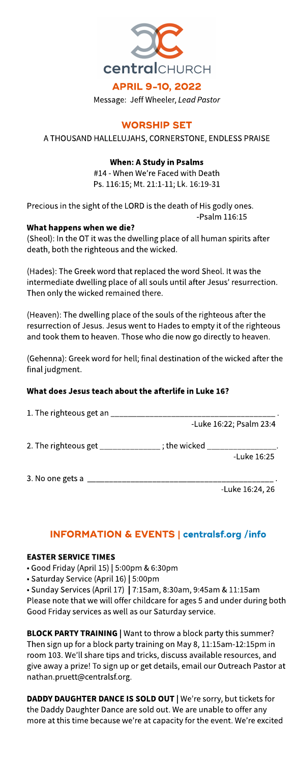

Message: Jeff Wheeler, **LeadPastor**

# **WORSHIP SET**

A THOUSAND HALLELUJAHS, CORNERSTONE, ENDLESS PRAISE

# When: AStudy in Psalms

#14 - When We're Faced with Death Ps. 116:15; Mt. 21:1-11; Lk. 16:19-31

Precious in the sight of the LORD is the death of His godly ones. -Psalm 116:15

#### What happens when we die?

(Sheol): In the OT it was the dwelling place of all human spirits after death, both the righteous and the wicked.

(Hades): The Greek word that replaced the word Sheol. It was the intermediate dwelling place of all souls until after Jesus' resurrection. Then only the wicked remained there.

(Heaven): The dwelling place of the souls of the righteous after the resurrection of Jesus. Jesus went to Hades to empty it of the righteous and took them to heaven. Those who die now go directly to heaven.

(Gehenna): Greek word for hell; final destination of thewicked after the final judgment.

# What does Jesus teach about the afterlife in Luke 16?

| 1. The righteous get an _ |                         |                 |  |
|---------------------------|-------------------------|-----------------|--|
|                           | -Luke 16:22; Psalm 23:4 |                 |  |
| 2. The righteous get      | ; the wicked            | -Luke 16:25     |  |
| 3. No one gets a          |                         |                 |  |
|                           |                         | -Luke 16:24, 26 |  |

# INFORMATION& EVENTS| **[centralsf.org/info](http://centralsf.org/info)**

#### **EASTER SERVICE TIMES**

- Good Friday (April 15) | 5:00pm &6:30pm

- Saturday Service (April 16) | 5:00pm

• Sunday Services (April 17) | 7:15am, 8:30am, 9:45am & 11:15am Please note that we will offer childcare for ages 5 and under during both Good Friday services as well as our Saturday service.

**BLOCK PARTY TRAINING | Want to throw a block party this summer?** Then sign up for a block party training on May 8, 11:15am-12:15pm in room 103. We'll share tips and tricks, discuss available resources, and give away a prize! To sign up or get details, email our Outreach Pastor at nathan.pruett@centralsf.org.

DADDY DAUGHTER DANCE IS SOLD OUT | We're sorry, but tickets for the Daddy Daughter Dance are sold out. We are unable to offer any more at this time because we're at capacity for the event. We're excited